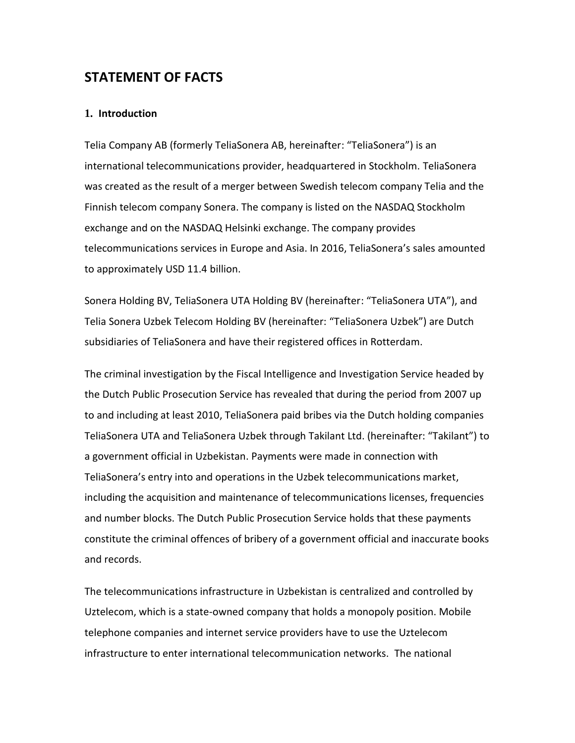# **STATEMENT OF FACTS**

## **1. Introduction**

Telia Company AB (formerly TeliaSonera AB, hereinafter: "TeliaSonera") is an international telecommunications provider, headquartered in Stockholm. TeliaSonera was created as the result of a merger between Swedish telecom company Telia and the Finnish telecom company Sonera. The company is listed on the NASDAQ Stockholm exchange and on the NASDAQ Helsinki exchange. The company provides telecommunications services in Europe and Asia. In 2016, TeliaSonera's sales amounted to approximately USD 11.4 billion.

Sonera Holding BV, TeliaSonera UTA Holding BV (hereinafter: "TeliaSonera UTA"), and Telia Sonera Uzbek Telecom Holding BV (hereinafter: "TeliaSonera Uzbek") are Dutch subsidiaries of TeliaSonera and have their registered offices in Rotterdam.

The criminal investigation by the Fiscal Intelligence and Investigation Service headed by the Dutch Public Prosecution Service has revealed that during the period from 2007 up to and including at least 2010, TeliaSonera paid bribes via the Dutch holding companies TeliaSonera UTA and TeliaSonera Uzbek through Takilant Ltd. (hereinafter: "Takilant") to a government official in Uzbekistan. Payments were made in connection with TeliaSonera's entry into and operations in the Uzbek telecommunications market, including the acquisition and maintenance of telecommunications licenses, frequencies and number blocks. The Dutch Public Prosecution Service holds that these payments constitute the criminal offences of bribery of a government official and inaccurate books and records.

The telecommunications infrastructure in Uzbekistan is centralized and controlled by Uztelecom, which is a state-owned company that holds a monopoly position. Mobile telephone companies and internet service providers have to use the Uztelecom infrastructure to enter international telecommunication networks. The national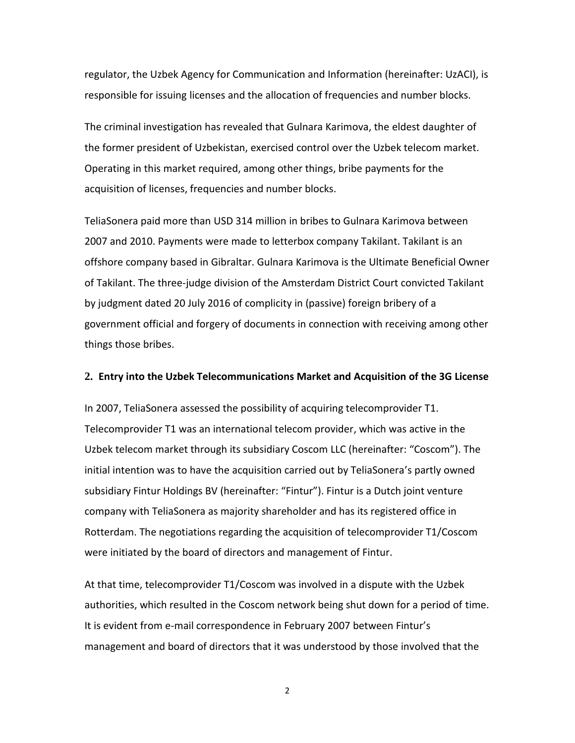regulator, the Uzbek Agency for Communication and Information (hereinafter: UzACI), is responsible for issuing licenses and the allocation of frequencies and number blocks.

The criminal investigation has revealed that Gulnara Karimova, the eldest daughter of the former president of Uzbekistan, exercised control over the Uzbek telecom market. Operating in this market required, among other things, bribe payments for the acquisition of licenses, frequencies and number blocks.

TeliaSonera paid more than USD 314 million in bribes to Gulnara Karimova between 2007 and 2010. Payments were made to letterbox company Takilant. Takilant is an offshore company based in Gibraltar. Gulnara Karimova is the Ultimate Beneficial Owner of Takilant. The three-judge division of the Amsterdam District Court convicted Takilant by judgment dated 20 July 2016 of complicity in (passive) foreign bribery of a government official and forgery of documents in connection with receiving among other things those bribes.

## **2. Entry into the Uzbek Telecommunications Market and Acquisition of the 3G License**

In 2007, TeliaSonera assessed the possibility of acquiring telecomprovider T1. Telecomprovider T1 was an international telecom provider, which was active in the Uzbek telecom market through its subsidiary Coscom LLC (hereinafter: "Coscom"). The initial intention was to have the acquisition carried out by TeliaSonera's partly owned subsidiary Fintur Holdings BV (hereinafter: "Fintur"). Fintur is a Dutch joint venture company with TeliaSonera as majority shareholder and has its registered office in Rotterdam. The negotiations regarding the acquisition of telecomprovider T1/Coscom were initiated by the board of directors and management of Fintur.

At that time, telecomprovider T1/Coscom was involved in a dispute with the Uzbek authorities, which resulted in the Coscom network being shut down for a period of time. It is evident from e-mail correspondence in February 2007 between Fintur's management and board of directors that it was understood by those involved that the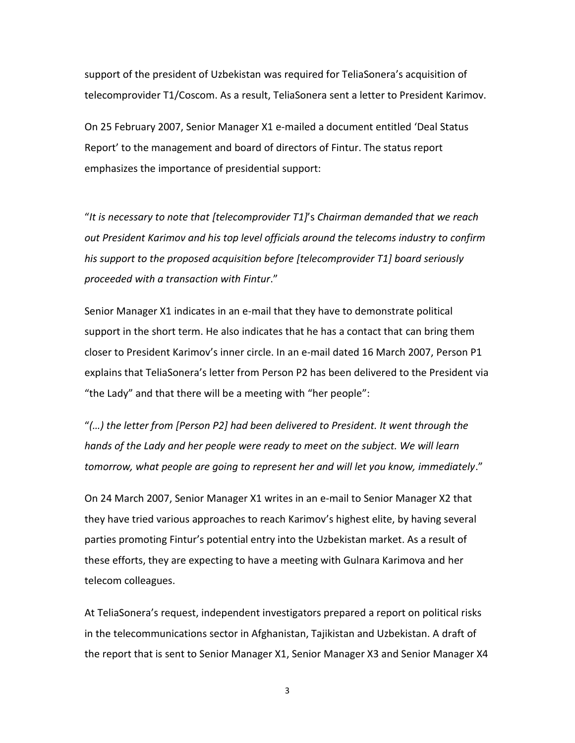support of the president of Uzbekistan was required for TeliaSonera's acquisition of telecomprovider T1/Coscom. As a result, TeliaSonera sent a letter to President Karimov.

On 25 February 2007, Senior Manager X1 e-mailed a document entitled 'Deal Status Report' to the management and board of directors of Fintur. The status report emphasizes the importance of presidential support:

"*It is necessary to note that [telecomprovider T1]*'s *Chairman demanded that we reach out President Karimov and his top level officials around the telecoms industry to confirm his support to the proposed acquisition before [telecomprovider T1] board seriously proceeded with a transaction with Fintur*."

Senior Manager X1 indicates in an e-mail that they have to demonstrate political support in the short term. He also indicates that he has a contact that can bring them closer to President Karimov's inner circle. In an e-mail dated 16 March 2007, Person P1 explains that TeliaSonera's letter from Person P2 has been delivered to the President via "the Lady" and that there will be a meeting with "her people":

"*(…) the letter from [Person P2] had been delivered to President. It went through the hands of the Lady and her people were ready to meet on the subject. We will learn tomorrow, what people are going to represent her and will let you know, immediately*."

On 24 March 2007, Senior Manager X1 writes in an e-mail to Senior Manager X2 that they have tried various approaches to reach Karimov's highest elite, by having several parties promoting Fintur's potential entry into the Uzbekistan market. As a result of these efforts, they are expecting to have a meeting with Gulnara Karimova and her telecom colleagues.

At TeliaSonera's request, independent investigators prepared a report on political risks in the telecommunications sector in Afghanistan, Tajikistan and Uzbekistan. A draft of the report that is sent to Senior Manager X1, Senior Manager X3 and Senior Manager X4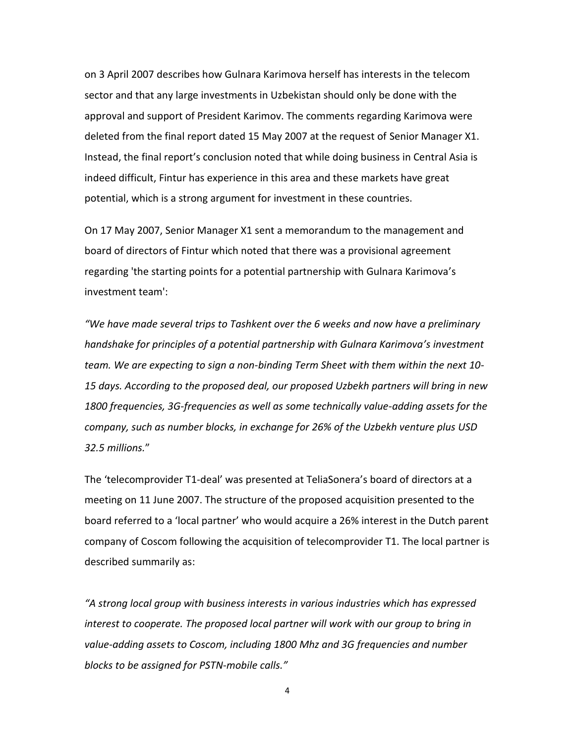on 3 April 2007 describes how Gulnara Karimova herself has interests in the telecom sector and that any large investments in Uzbekistan should only be done with the approval and support of President Karimov. The comments regarding Karimova were deleted from the final report dated 15 May 2007 at the request of Senior Manager X1. Instead, the final report's conclusion noted that while doing business in Central Asia is indeed difficult, Fintur has experience in this area and these markets have great potential, which is a strong argument for investment in these countries.

On 17 May 2007, Senior Manager X1 sent a memorandum to the management and board of directors of Fintur which noted that there was a provisional agreement regarding 'the starting points for a potential partnership with Gulnara Karimova's investment team':

*"We have made several trips to Tashkent over the 6 weeks and now have a preliminary handshake for principles of a potential partnership with Gulnara Karimova's investment team. We are expecting to sign a non-binding Term Sheet with them within the next 10- 15 days. According to the proposed deal, our proposed Uzbekh partners will bring in new 1800 frequencies, 3G-frequencies as well as some technically value-adding assets for the company, such as number blocks, in exchange for 26% of the Uzbekh venture plus USD 32.5 millions.*"

The 'telecomprovider T1-deal' was presented at TeliaSonera's board of directors at a meeting on 11 June 2007. The structure of the proposed acquisition presented to the board referred to a 'local partner' who would acquire a 26% interest in the Dutch parent company of Coscom following the acquisition of telecomprovider T1. The local partner is described summarily as:

*"A strong local group with business interests in various industries which has expressed interest to cooperate. The proposed local partner will work with our group to bring in value-adding assets to Coscom, including 1800 Mhz and 3G frequencies and number blocks to be assigned for PSTN-mobile calls."*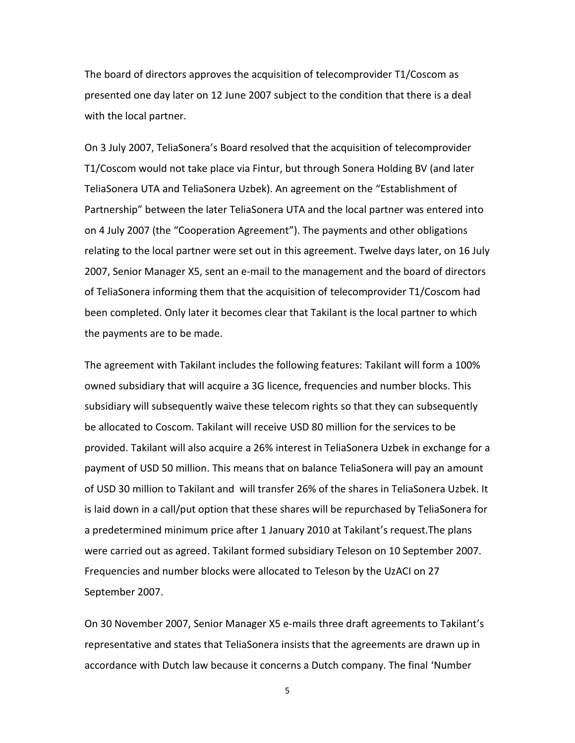The board of directors approves the acquisition of telecomprovider T1/Coscom as presented one day later on 12 June 2007 subject to the condition that there is a deal with the local partner.

On 3 July 2007, TeliaSonera's Board resolved that the acquisition of telecomprovider T1/Coscom would not take place via Fintur, but through Sonera Holding BV (and later TeliaSonera UTA and TeliaSonera Uzbek). An agreement on the "Establishment of Partnership" between the later TeliaSonera UTA and the local partner was entered into on 4 July 2007 (the "Cooperation Agreement"). The payments and other obligations relating to the local partner were set out in this agreement. Twelve days later, on 16 July 2007, Senior Manager X5, sent an e-mail to the management and the board of directors of TeliaSonera informing them that the acquisition of telecomprovider T1/Coscom had been completed. Only later it becomes clear that Takilant is the local partner to which the payments are to be made.

The agreement with Takilant includes the following features: Takilant will form a 100% owned subsidiary that will acquire a 3G licence, frequencies and number blocks. This subsidiary will subsequently waive these telecom rights so that they can subsequently be allocated to Coscom. Takilant will receive USD 80 million for the services to be provided. Takilant will also acquire a 26% interest in TeliaSonera Uzbek in exchange for a payment of USD 50 million. This means that on balance TeliaSonera will pay an amount of USD 30 million to Takilant and will transfer 26% of the shares in TeliaSonera Uzbek. It is laid down in a call/put option that these shares will be repurchased by TeliaSonera for a predetermined minimum price after 1 January 2010 at Takilant's request.The plans were carried out as agreed. Takilant formed subsidiary Teleson on 10 September 2007. Frequencies and number blocks were allocated to Teleson by the UzACI on 27 September 2007.

On 30 November 2007, Senior Manager X5 e-mails three draft agreements to Takilant's representative and states that TeliaSonera insists that the agreements are drawn up in accordance with Dutch law because it concerns a Dutch company. The final 'Number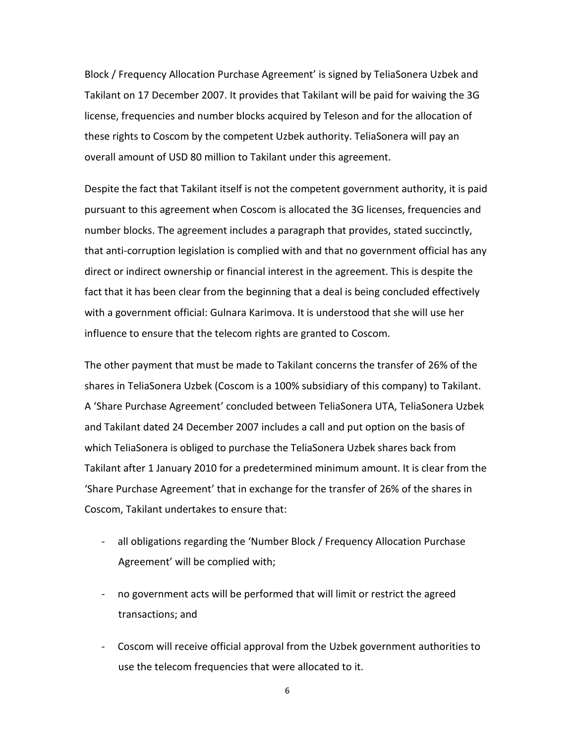Block / Frequency Allocation Purchase Agreement' is signed by TeliaSonera Uzbek and Takilant on 17 December 2007. It provides that Takilant will be paid for waiving the 3G license, frequencies and number blocks acquired by Teleson and for the allocation of these rights to Coscom by the competent Uzbek authority. TeliaSonera will pay an overall amount of USD 80 million to Takilant under this agreement.

Despite the fact that Takilant itself is not the competent government authority, it is paid pursuant to this agreement when Coscom is allocated the 3G licenses, frequencies and number blocks. The agreement includes a paragraph that provides, stated succinctly, that anti-corruption legislation is complied with and that no government official has any direct or indirect ownership or financial interest in the agreement. This is despite the fact that it has been clear from the beginning that a deal is being concluded effectively with a government official: Gulnara Karimova. It is understood that she will use her influence to ensure that the telecom rights are granted to Coscom.

The other payment that must be made to Takilant concerns the transfer of 26% of the shares in TeliaSonera Uzbek (Coscom is a 100% subsidiary of this company) to Takilant. A 'Share Purchase Agreement' concluded between TeliaSonera UTA, TeliaSonera Uzbek and Takilant dated 24 December 2007 includes a call and put option on the basis of which TeliaSonera is obliged to purchase the TeliaSonera Uzbek shares back from Takilant after 1 January 2010 for a predetermined minimum amount. It is clear from the 'Share Purchase Agreement' that in exchange for the transfer of 26% of the shares in Coscom, Takilant undertakes to ensure that:

- all obligations regarding the 'Number Block / Frequency Allocation Purchase Agreement' will be complied with;
- no government acts will be performed that will limit or restrict the agreed transactions; and
- Coscom will receive official approval from the Uzbek government authorities to use the telecom frequencies that were allocated to it.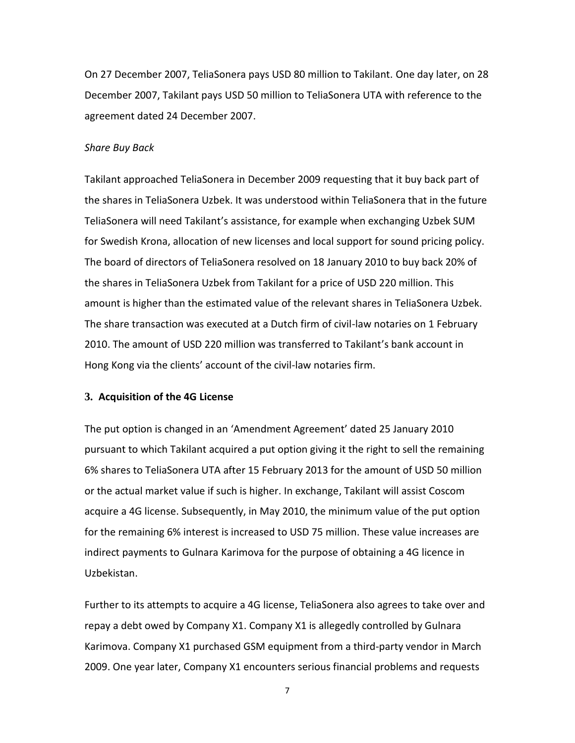On 27 December 2007, TeliaSonera pays USD 80 million to Takilant. One day later, on 28 December 2007, Takilant pays USD 50 million to TeliaSonera UTA with reference to the agreement dated 24 December 2007.

#### *Share Buy Back*

Takilant approached TeliaSonera in December 2009 requesting that it buy back part of the shares in TeliaSonera Uzbek. It was understood within TeliaSonera that in the future TeliaSonera will need Takilant's assistance, for example when exchanging Uzbek SUM for Swedish Krona, allocation of new licenses and local support for sound pricing policy. The board of directors of TeliaSonera resolved on 18 January 2010 to buy back 20% of the shares in TeliaSonera Uzbek from Takilant for a price of USD 220 million. This amount is higher than the estimated value of the relevant shares in TeliaSonera Uzbek. The share transaction was executed at a Dutch firm of civil-law notaries on 1 February 2010. The amount of USD 220 million was transferred to Takilant's bank account in Hong Kong via the clients' account of the civil-law notaries firm.

## **3. Acquisition of the 4G License**

The put option is changed in an 'Amendment Agreement' dated 25 January 2010 pursuant to which Takilant acquired a put option giving it the right to sell the remaining 6% shares to TeliaSonera UTA after 15 February 2013 for the amount of USD 50 million or the actual market value if such is higher. In exchange, Takilant will assist Coscom acquire a 4G license. Subsequently, in May 2010, the minimum value of the put option for the remaining 6% interest is increased to USD 75 million. These value increases are indirect payments to Gulnara Karimova for the purpose of obtaining a 4G licence in Uzbekistan.

Further to its attempts to acquire a 4G license, TeliaSonera also agrees to take over and repay a debt owed by Company X1. Company X1 is allegedly controlled by Gulnara Karimova. Company X1 purchased GSM equipment from a third-party vendor in March 2009. One year later, Company X1 encounters serious financial problems and requests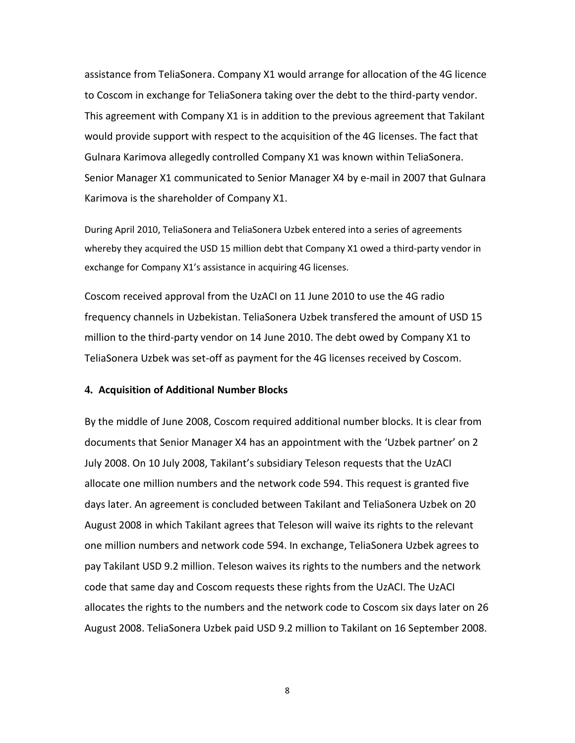assistance from TeliaSonera. Company X1 would arrange for allocation of the 4G licence to Coscom in exchange for TeliaSonera taking over the debt to the third-party vendor. This agreement with Company X1 is in addition to the previous agreement that Takilant would provide support with respect to the acquisition of the 4G licenses. The fact that Gulnara Karimova allegedly controlled Company X1 was known within TeliaSonera. Senior Manager X1 communicated to Senior Manager X4 by e-mail in 2007 that Gulnara Karimova is the shareholder of Company X1.

During April 2010, TeliaSonera and TeliaSonera Uzbek entered into a series of agreements whereby they acquired the USD 15 million debt that Company X1 owed a third-party vendor in exchange for Company X1's assistance in acquiring 4G licenses.

Coscom received approval from the UzACI on 11 June 2010 to use the 4G radio frequency channels in Uzbekistan. TeliaSonera Uzbek transfered the amount of USD 15 million to the third-party vendor on 14 June 2010. The debt owed by Company X1 to TeliaSonera Uzbek was set-off as payment for the 4G licenses received by Coscom.

#### **4. Acquisition of Additional Number Blocks**

By the middle of June 2008, Coscom required additional number blocks. It is clear from documents that Senior Manager X4 has an appointment with the 'Uzbek partner' on 2 July 2008. On 10 July 2008, Takilant's subsidiary Teleson requests that the UzACI allocate one million numbers and the network code 594. This request is granted five days later. An agreement is concluded between Takilant and TeliaSonera Uzbek on 20 August 2008 in which Takilant agrees that Teleson will waive its rights to the relevant one million numbers and network code 594. In exchange, TeliaSonera Uzbek agrees to pay Takilant USD 9.2 million. Teleson waives its rights to the numbers and the network code that same day and Coscom requests these rights from the UzACI. The UzACI allocates the rights to the numbers and the network code to Coscom six days later on 26 August 2008. TeliaSonera Uzbek paid USD 9.2 million to Takilant on 16 September 2008.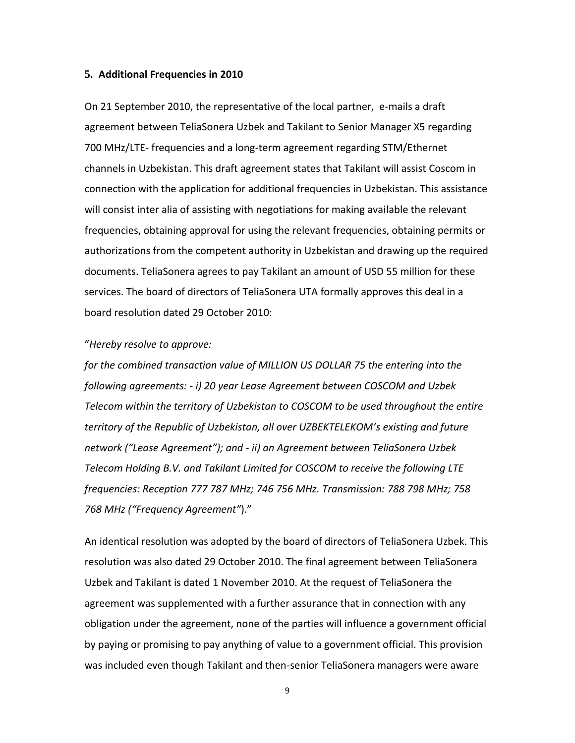#### **5. Additional Frequencies in 2010**

On 21 September 2010, the representative of the local partner, e-mails a draft agreement between TeliaSonera Uzbek and Takilant to Senior Manager X5 regarding 700 MHz/LTE- frequencies and a long-term agreement regarding STM/Ethernet channels in Uzbekistan. This draft agreement states that Takilant will assist Coscom in connection with the application for additional frequencies in Uzbekistan. This assistance will consist inter alia of assisting with negotiations for making available the relevant frequencies, obtaining approval for using the relevant frequencies, obtaining permits or authorizations from the competent authority in Uzbekistan and drawing up the required documents. TeliaSonera agrees to pay Takilant an amount of USD 55 million for these services. The board of directors of TeliaSonera UTA formally approves this deal in a board resolution dated 29 October 2010:

## "*Hereby resolve to approve:*

*for the combined transaction value of MILLION US DOLLAR 75 the entering into the following agreements: - i) 20 year Lease Agreement between COSCOM and Uzbek Telecom within the territory of Uzbekistan to COSCOM to be used throughout the entire territory of the Republic of Uzbekistan, all over UZBEKTELEKOM's existing and future network ("Lease Agreement"); and - ii) an Agreement between TeliaSonera Uzbek Telecom Holding B.V. and Takilant Limited for COSCOM to receive the following LTE frequencies: Reception 777 787 MHz; 746 756 MHz. Transmission: 788 798 MHz; 758 768 MHz ("Frequency Agreement"*)."

An identical resolution was adopted by the board of directors of TeliaSonera Uzbek. This resolution was also dated 29 October 2010. The final agreement between TeliaSonera Uzbek and Takilant is dated 1 November 2010. At the request of TeliaSonera the agreement was supplemented with a further assurance that in connection with any obligation under the agreement, none of the parties will influence a government official by paying or promising to pay anything of value to a government official. This provision was included even though Takilant and then-senior TeliaSonera managers were aware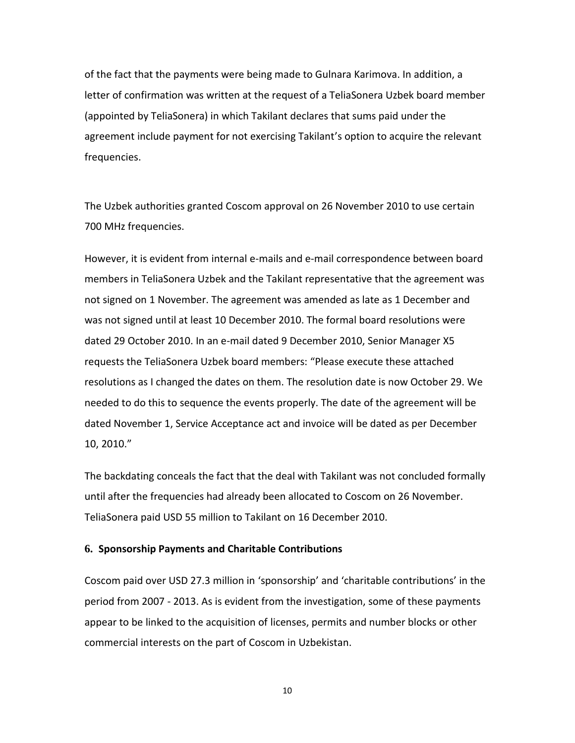of the fact that the payments were being made to Gulnara Karimova. In addition, a letter of confirmation was written at the request of a TeliaSonera Uzbek board member (appointed by TeliaSonera) in which Takilant declares that sums paid under the agreement include payment for not exercising Takilant's option to acquire the relevant frequencies.

The Uzbek authorities granted Coscom approval on 26 November 2010 to use certain 700 MHz frequencies.

However, it is evident from internal e-mails and e-mail correspondence between board members in TeliaSonera Uzbek and the Takilant representative that the agreement was not signed on 1 November. The agreement was amended as late as 1 December and was not signed until at least 10 December 2010. The formal board resolutions were dated 29 October 2010. In an e-mail dated 9 December 2010, Senior Manager X5 requests the TeliaSonera Uzbek board members: "Please execute these attached resolutions as I changed the dates on them. The resolution date is now October 29. We needed to do this to sequence the events properly. The date of the agreement will be dated November 1, Service Acceptance act and invoice will be dated as per December 10, 2010."

The backdating conceals the fact that the deal with Takilant was not concluded formally until after the frequencies had already been allocated to Coscom on 26 November. TeliaSonera paid USD 55 million to Takilant on 16 December 2010.

### **6. Sponsorship Payments and Charitable Contributions**

Coscom paid over USD 27.3 million in 'sponsorship' and 'charitable contributions' in the period from 2007 - 2013. As is evident from the investigation, some of these payments appear to be linked to the acquisition of licenses, permits and number blocks or other commercial interests on the part of Coscom in Uzbekistan.